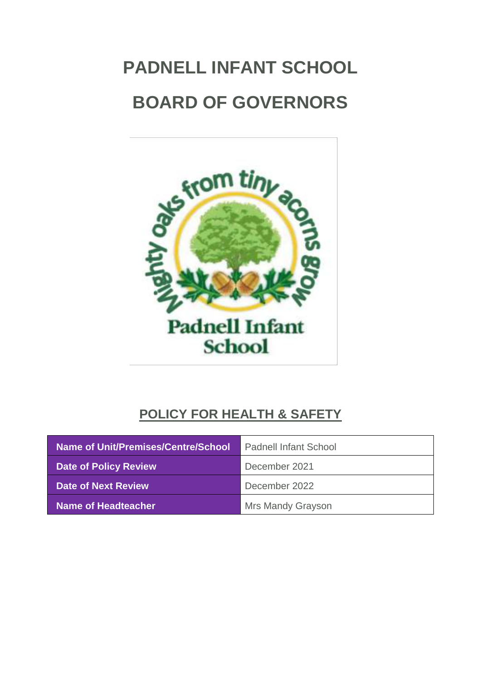# **PADNELL INFANT SCHOOL BOARD OF GOVERNORS**



# **POLICY FOR HEALTH & SAFETY**

| Name of Unit/Premises/Centre/School | <b>Padnell Infant School</b> |
|-------------------------------------|------------------------------|
| <b>Date of Policy Review</b>        | December 2021                |
| Date of Next Review                 | December 2022                |
| Name of Headteacher                 | Mrs Mandy Grayson            |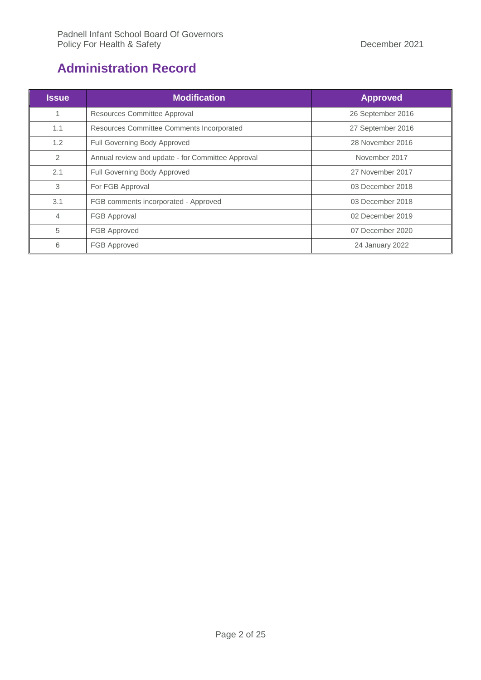# <span id="page-1-0"></span>**Administration Record**

| <b>Issue</b>   | <b>Modification</b>                               | <b>Approved</b>                                                             |  |
|----------------|---------------------------------------------------|-----------------------------------------------------------------------------|--|
| $\mathbf{1}$   | Resources Committee Approval                      | 26 September 2016<br>27 September 2016<br>28 November 2016<br>November 2017 |  |
| 1.1            | <b>Resources Committee Comments Incorporated</b>  |                                                                             |  |
| 1.2            | Full Governing Body Approved                      |                                                                             |  |
| 2              | Annual review and update - for Committee Approval |                                                                             |  |
| 2.1            | Full Governing Body Approved                      | 27 November 2017                                                            |  |
| 3              | For FGB Approval                                  | 03 December 2018<br>03 December 2018<br>02 December 2019                    |  |
| 3.1            | FGB comments incorporated - Approved              |                                                                             |  |
| $\overline{4}$ | <b>FGB Approval</b>                               |                                                                             |  |
| 5              | <b>FGB Approved</b>                               | 07 December 2020                                                            |  |
| 6              | <b>FGB Approved</b>                               | 24 January 2022                                                             |  |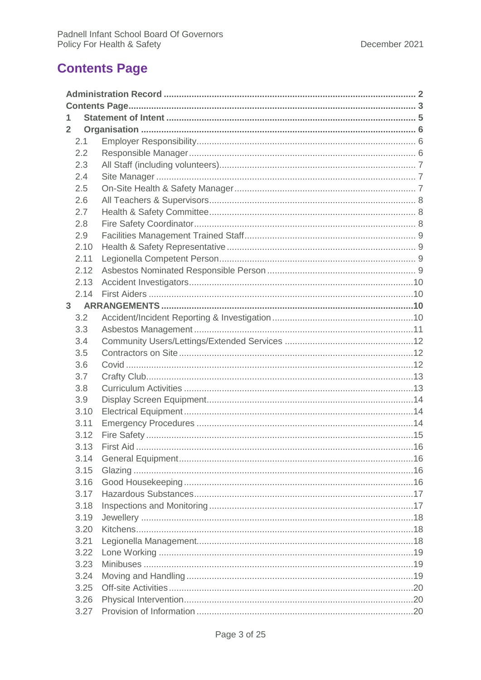# <span id="page-2-0"></span>**Contents Page**

| 1              |      |  |  |  |  |
|----------------|------|--|--|--|--|
| $\overline{2}$ |      |  |  |  |  |
|                | 2.1  |  |  |  |  |
|                | 2.2  |  |  |  |  |
|                | 2.3  |  |  |  |  |
|                | 2.4  |  |  |  |  |
|                | 2.5  |  |  |  |  |
|                | 2.6  |  |  |  |  |
|                | 2.7  |  |  |  |  |
|                | 2.8  |  |  |  |  |
|                | 2.9  |  |  |  |  |
|                | 2.10 |  |  |  |  |
|                | 2.11 |  |  |  |  |
|                | 2.12 |  |  |  |  |
|                | 2.13 |  |  |  |  |
|                | 2.14 |  |  |  |  |
|                |      |  |  |  |  |
|                | 3.2  |  |  |  |  |
|                | 3.3  |  |  |  |  |
|                | 3.4  |  |  |  |  |
|                | 3.5  |  |  |  |  |
|                | 3.6  |  |  |  |  |
|                | 3.7  |  |  |  |  |
|                | 3.8  |  |  |  |  |
|                | 3.9  |  |  |  |  |
|                | 3.10 |  |  |  |  |
|                | 3.11 |  |  |  |  |
|                | 3.12 |  |  |  |  |
|                | 3.13 |  |  |  |  |
|                | 3.14 |  |  |  |  |
|                | 3.15 |  |  |  |  |
|                | 3.16 |  |  |  |  |
|                | 3.17 |  |  |  |  |
|                | 3.18 |  |  |  |  |
|                | 3.19 |  |  |  |  |
|                | 3.20 |  |  |  |  |
|                | 3.21 |  |  |  |  |
|                | 3.22 |  |  |  |  |
|                | 3.23 |  |  |  |  |
|                | 3.24 |  |  |  |  |
|                | 3.25 |  |  |  |  |
|                | 3.26 |  |  |  |  |
|                | 3.27 |  |  |  |  |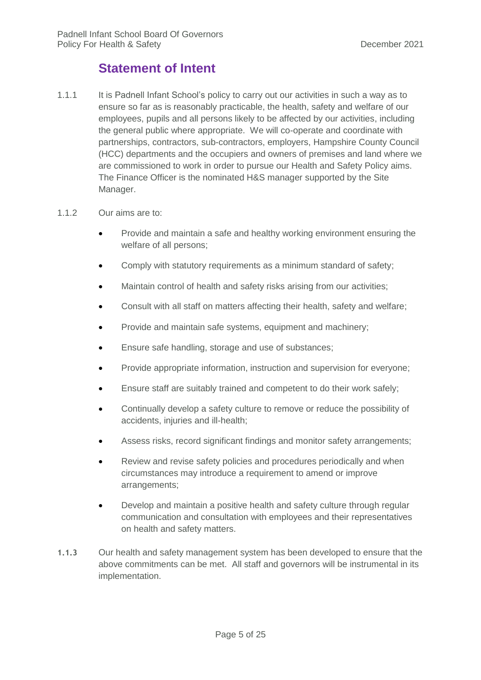# **Statement of Intent**

<span id="page-4-0"></span>1.1.1 It is Padnell Infant School's policy to carry out our activities in such a way as to ensure so far as is reasonably practicable, the health, safety and welfare of our employees, pupils and all persons likely to be affected by our activities, including the general public where appropriate. We will co-operate and coordinate with partnerships, contractors, sub-contractors, employers, Hampshire County Council (HCC) departments and the occupiers and owners of premises and land where we are commissioned to work in order to pursue our Health and Safety Policy aims. The Finance Officer is the nominated H&S manager supported by the Site Manager.

#### 1.1.2 Our aims are to:

- Provide and maintain a safe and healthy working environment ensuring the welfare of all persons;
- Comply with statutory requirements as a minimum standard of safety;
- Maintain control of health and safety risks arising from our activities;
- Consult with all staff on matters affecting their health, safety and welfare;
- Provide and maintain safe systems, equipment and machinery;
- **Ensure safe handling, storage and use of substances;**
- Provide appropriate information, instruction and supervision for everyone;
- Ensure staff are suitably trained and competent to do their work safely;
- Continually develop a safety culture to remove or reduce the possibility of accidents, injuries and ill-health;
- Assess risks, record significant findings and monitor safety arrangements;
- Review and revise safety policies and procedures periodically and when circumstances may introduce a requirement to amend or improve arrangements;
- Develop and maintain a positive health and safety culture through regular communication and consultation with employees and their representatives on health and safety matters.
- **1.1.3** Our health and safety management system has been developed to ensure that the above commitments can be met. All staff and governors will be instrumental in its implementation.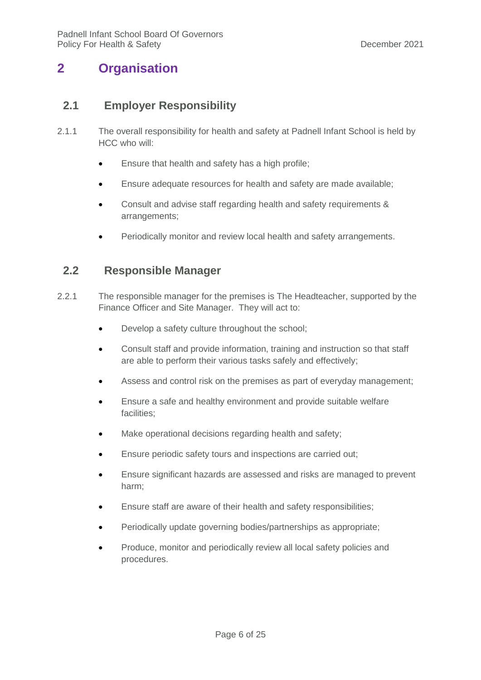# <span id="page-5-1"></span><span id="page-5-0"></span>**2 Organisation**

#### **2.1 Employer Responsibility**

- 2.1.1 The overall responsibility for health and safety at Padnell Infant School is held by HCC who will:
	- **Ensure that health and safety has a high profile;**
	- Ensure adequate resources for health and safety are made available;
	- Consult and advise staff regarding health and safety requirements & arrangements;
	- Periodically monitor and review local health and safety arrangements.

#### <span id="page-5-2"></span>**2.2 Responsible Manager**

- 2.2.1 The responsible manager for the premises is The Headteacher, supported by the Finance Officer and Site Manager. They will act to:
	- Develop a safety culture throughout the school;
	- Consult staff and provide information, training and instruction so that staff are able to perform their various tasks safely and effectively;
	- Assess and control risk on the premises as part of everyday management;
	- Ensure a safe and healthy environment and provide suitable welfare facilities;
	- Make operational decisions regarding health and safety;
	- Ensure periodic safety tours and inspections are carried out;
	- Ensure significant hazards are assessed and risks are managed to prevent harm;
	- Ensure staff are aware of their health and safety responsibilities;
	- Periodically update governing bodies/partnerships as appropriate;
	- Produce, monitor and periodically review all local safety policies and procedures.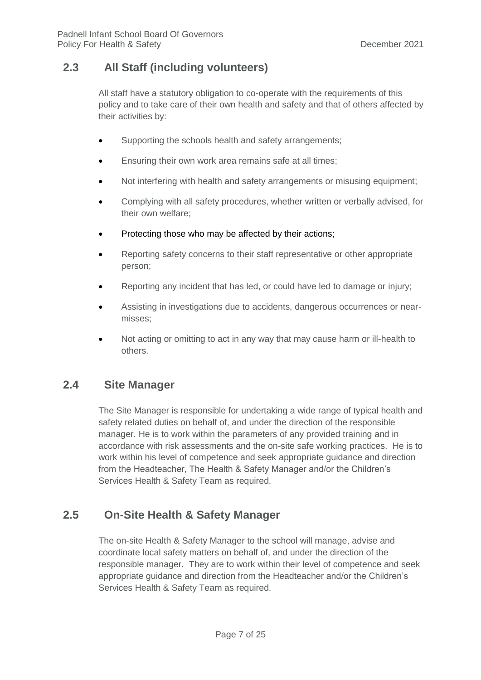## <span id="page-6-0"></span>**2.3 All Staff (including volunteers)**

All staff have a statutory obligation to co-operate with the requirements of this policy and to take care of their own health and safety and that of others affected by their activities by:

- Supporting the schools health and safety arrangements;
- Ensuring their own work area remains safe at all times;
- Not interfering with health and safety arrangements or misusing equipment;
- Complying with all safety procedures, whether written or verbally advised, for their own welfare;
- Protecting those who may be affected by their actions;
- Reporting safety concerns to their staff representative or other appropriate person;
- Reporting any incident that has led, or could have led to damage or injury;
- Assisting in investigations due to accidents, dangerous occurrences or nearmisses;
- Not acting or omitting to act in any way that may cause harm or ill-health to others.

#### <span id="page-6-1"></span>**2.4 Site Manager**

The Site Manager is responsible for undertaking a wide range of typical health and safety related duties on behalf of, and under the direction of the responsible manager. He is to work within the parameters of any provided training and in accordance with risk assessments and the on-site safe working practices. He is to work within his level of competence and seek appropriate guidance and direction from the Headteacher, The Health & Safety Manager and/or the Children's Services Health & Safety Team as required.

#### <span id="page-6-2"></span>**2.5 On-Site Health & Safety Manager**

The on-site Health & Safety Manager to the school will manage, advise and coordinate local safety matters on behalf of, and under the direction of the responsible manager. They are to work within their level of competence and seek appropriate guidance and direction from the Headteacher and/or the Children's Services Health & Safety Team as required.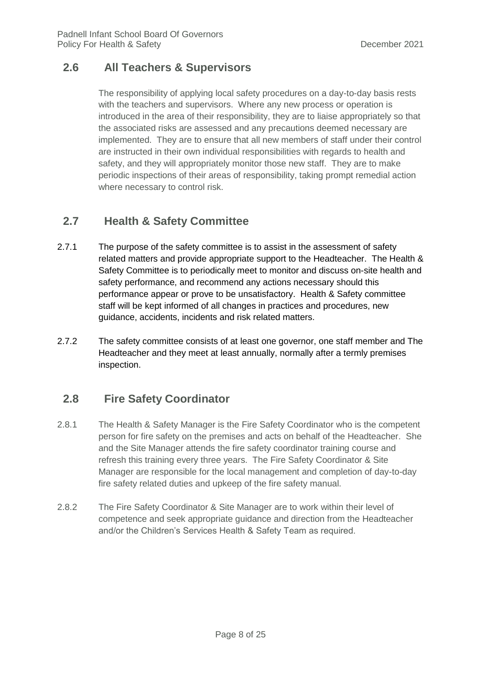## <span id="page-7-0"></span>**2.6 All Teachers & Supervisors**

The responsibility of applying local safety procedures on a day-to-day basis rests with the teachers and supervisors. Where any new process or operation is introduced in the area of their responsibility, they are to liaise appropriately so that the associated risks are assessed and any precautions deemed necessary are implemented. They are to ensure that all new members of staff under their control are instructed in their own individual responsibilities with regards to health and safety, and they will appropriately monitor those new staff. They are to make periodic inspections of their areas of responsibility, taking prompt remedial action where necessary to control risk.

# <span id="page-7-1"></span>**2.7 Health & Safety Committee**

- 2.7.1 The purpose of the safety committee is to assist in the assessment of safety related matters and provide appropriate support to the Headteacher. The Health & Safety Committee is to periodically meet to monitor and discuss on-site health and safety performance, and recommend any actions necessary should this performance appear or prove to be unsatisfactory. Health & Safety committee staff will be kept informed of all changes in practices and procedures, new guidance, accidents, incidents and risk related matters.
- 2.7.2 The safety committee consists of at least one governor, one staff member and The Headteacher and they meet at least annually, normally after a termly premises inspection.

# <span id="page-7-2"></span>**2.8 Fire Safety Coordinator**

- 2.8.1 The Health & Safety Manager is the Fire Safety Coordinator who is the competent person for fire safety on the premises and acts on behalf of the Headteacher. She and the Site Manager attends the fire safety coordinator training course and refresh this training every three years. The Fire Safety Coordinator & Site Manager are responsible for the local management and completion of day-to-day fire safety related duties and upkeep of the fire safety manual.
- 2.8.2 The Fire Safety Coordinator & Site Manager are to work within their level of competence and seek appropriate guidance and direction from the Headteacher and/or the Children's Services Health & Safety Team as required.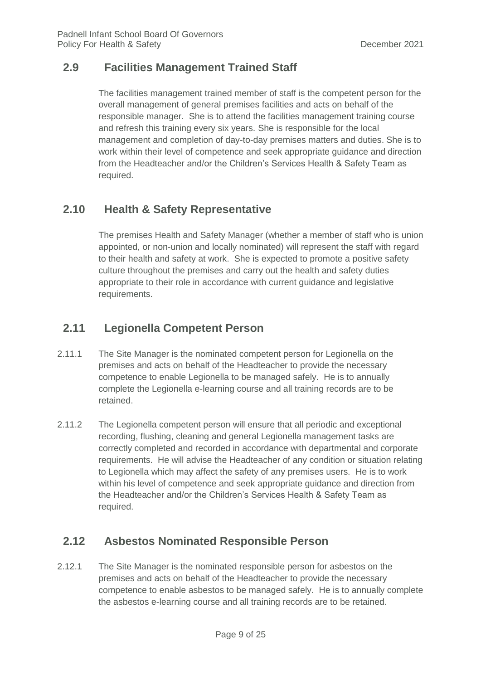## <span id="page-8-0"></span>**2.9 Facilities Management Trained Staff**

The facilities management trained member of staff is the competent person for the overall management of general premises facilities and acts on behalf of the responsible manager. She is to attend the facilities management training course and refresh this training every six years. She is responsible for the local management and completion of day-to-day premises matters and duties. She is to work within their level of competence and seek appropriate guidance and direction from the Headteacher and/or the Children's Services Health & Safety Team as required.

# <span id="page-8-1"></span>**2.10 Health & Safety Representative**

The premises Health and Safety Manager (whether a member of staff who is union appointed, or non-union and locally nominated) will represent the staff with regard to their health and safety at work. She is expected to promote a positive safety culture throughout the premises and carry out the health and safety duties appropriate to their role in accordance with current guidance and legislative requirements.

# <span id="page-8-2"></span>**2.11 Legionella Competent Person**

- 2.11.1 The Site Manager is the nominated competent person for Legionella on the premises and acts on behalf of the Headteacher to provide the necessary competence to enable Legionella to be managed safely. He is to annually complete the Legionella e-learning course and all training records are to be retained.
- 2.11.2 The Legionella competent person will ensure that all periodic and exceptional recording, flushing, cleaning and general Legionella management tasks are correctly completed and recorded in accordance with departmental and corporate requirements. He will advise the Headteacher of any condition or situation relating to Legionella which may affect the safety of any premises users. He is to work within his level of competence and seek appropriate guidance and direction from the Headteacher and/or the Children's Services Health & Safety Team as required.

# <span id="page-8-3"></span>**2.12 Asbestos Nominated Responsible Person**

2.12.1 The Site Manager is the nominated responsible person for asbestos on the premises and acts on behalf of the Headteacher to provide the necessary competence to enable asbestos to be managed safely. He is to annually complete the asbestos e-learning course and all training records are to be retained.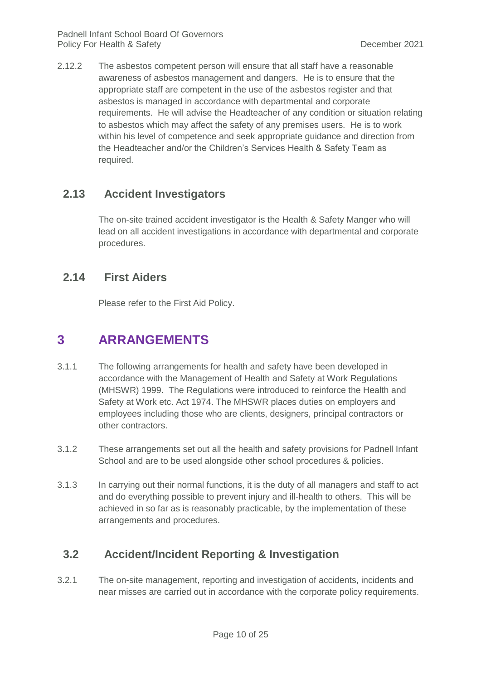2.12.2 The asbestos competent person will ensure that all staff have a reasonable awareness of asbestos management and dangers. He is to ensure that the appropriate staff are competent in the use of the asbestos register and that asbestos is managed in accordance with departmental and corporate requirements. He will advise the Headteacher of any condition or situation relating to asbestos which may affect the safety of any premises users. He is to work within his level of competence and seek appropriate guidance and direction from the Headteacher and/or the Children's Services Health & Safety Team as required.

## <span id="page-9-0"></span>**2.13 Accident Investigators**

The on-site trained accident investigator is the Health & Safety Manger who will lead on all accident investigations in accordance with departmental and corporate procedures.

#### <span id="page-9-1"></span>**2.14 First Aiders**

Please refer to the First Aid Policy.

# <span id="page-9-2"></span>**3 ARRANGEMENTS**

- 3.1.1 The following arrangements for health and safety have been developed in accordance with the Management of Health and Safety at Work Regulations (MHSWR) 1999. The Regulations were introduced to reinforce the Health and Safety at Work etc. Act 1974. The MHSWR places duties on employers and employees including those who are clients, designers, principal contractors or other contractors.
- 3.1.2 These arrangements set out all the health and safety provisions for Padnell Infant School and are to be used alongside other school procedures & policies.
- 3.1.3 In carrying out their normal functions, it is the duty of all managers and staff to act and do everything possible to prevent injury and ill-health to others. This will be achieved in so far as is reasonably practicable, by the implementation of these arrangements and procedures.

# <span id="page-9-3"></span>**3.2 Accident/Incident Reporting & Investigation**

3.2.1 The on-site management, reporting and investigation of accidents, incidents and near misses are carried out in accordance with the corporate policy requirements.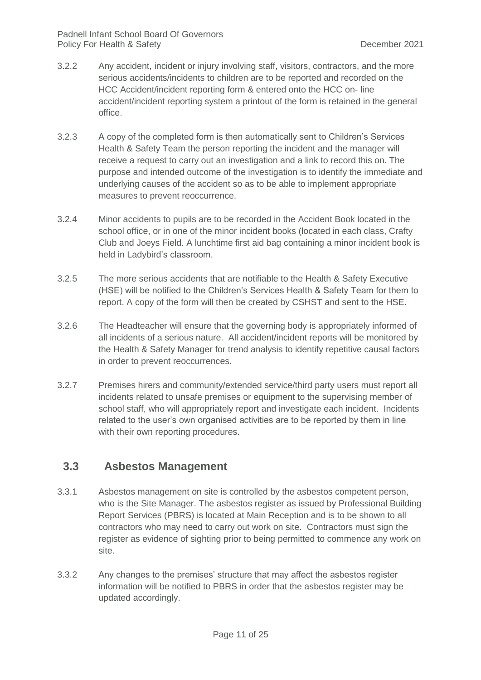- 3.2.2 Any accident, incident or injury involving staff, visitors, contractors, and the more serious accidents/incidents to children are to be reported and recorded on the HCC Accident/incident reporting form & entered onto the HCC on- line accident/incident reporting system a printout of the form is retained in the general office.
- 3.2.3 A copy of the completed form is then automatically sent to Children's Services Health & Safety Team the person reporting the incident and the manager will receive a request to carry out an investigation and a link to record this on. The purpose and intended outcome of the investigation is to identify the immediate and underlying causes of the accident so as to be able to implement appropriate measures to prevent reoccurrence.
- 3.2.4 Minor accidents to pupils are to be recorded in the Accident Book located in the school office, or in one of the minor incident books (located in each class, Crafty Club and Joeys Field. A lunchtime first aid bag containing a minor incident book is held in Ladybird's classroom.
- 3.2.5 The more serious accidents that are notifiable to the Health & Safety Executive (HSE) will be notified to the Children's Services Health & Safety Team for them to report. A copy of the form will then be created by CSHST and sent to the HSE.
- 3.2.6 The Headteacher will ensure that the governing body is appropriately informed of all incidents of a serious nature. All accident/incident reports will be monitored by the Health & Safety Manager for trend analysis to identify repetitive causal factors in order to prevent reoccurrences.
- 3.2.7 Premises hirers and community/extended service/third party users must report all incidents related to unsafe premises or equipment to the supervising member of school staff, who will appropriately report and investigate each incident. Incidents related to the user's own organised activities are to be reported by them in line with their own reporting procedures.

#### <span id="page-10-0"></span>**3.3 Asbestos Management**

- 3.3.1 Asbestos management on site is controlled by the asbestos competent person, who is the Site Manager. The asbestos register as issued by Professional Building Report Services (PBRS) is located at Main Reception and is to be shown to all contractors who may need to carry out work on site. Contractors must sign the register as evidence of sighting prior to being permitted to commence any work on site.
- 3.3.2 Any changes to the premises' structure that may affect the asbestos register information will be notified to PBRS in order that the asbestos register may be updated accordingly.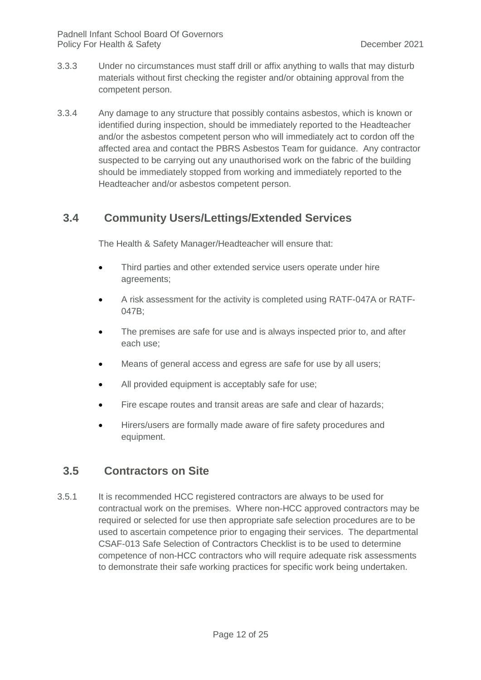- 3.3.3 Under no circumstances must staff drill or affix anything to walls that may disturb materials without first checking the register and/or obtaining approval from the competent person.
- 3.3.4 Any damage to any structure that possibly contains asbestos, which is known or identified during inspection, should be immediately reported to the Headteacher and/or the asbestos competent person who will immediately act to cordon off the affected area and contact the PBRS Asbestos Team for guidance. Any contractor suspected to be carrying out any unauthorised work on the fabric of the building should be immediately stopped from working and immediately reported to the Headteacher and/or asbestos competent person.

#### <span id="page-11-0"></span>**3.4 Community Users/Lettings/Extended Services**

The Health & Safety Manager/Headteacher will ensure that:

- Third parties and other extended service users operate under hire agreements;
- A risk assessment for the activity is completed using RATF-047A or RATF-047B;
- The premises are safe for use and is always inspected prior to, and after each use;
- Means of general access and egress are safe for use by all users;
- All provided equipment is acceptably safe for use;
- Fire escape routes and transit areas are safe and clear of hazards;
- Hirers/users are formally made aware of fire safety procedures and equipment.

#### <span id="page-11-1"></span>**3.5 Contractors on Site**

3.5.1 It is recommended HCC registered contractors are always to be used for contractual work on the premises. Where non-HCC approved contractors may be required or selected for use then appropriate safe selection procedures are to be used to ascertain competence prior to engaging their services. The departmental CSAF-013 Safe Selection of Contractors Checklist is to be used to determine competence of non-HCC contractors who will require adequate risk assessments to demonstrate their safe working practices for specific work being undertaken.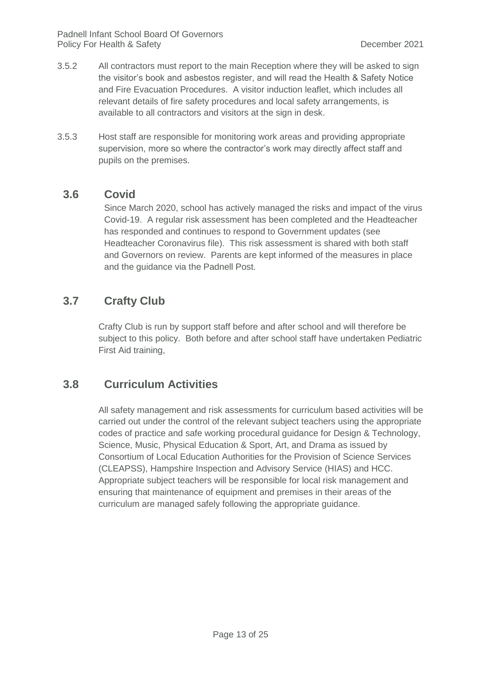- 3.5.2 All contractors must report to the main Reception where they will be asked to sign the visitor's book and asbestos register, and will read the Health & Safety Notice and Fire Evacuation Procedures. A visitor induction leaflet, which includes all relevant details of fire safety procedures and local safety arrangements, is available to all contractors and visitors at the sign in desk.
- 3.5.3 Host staff are responsible for monitoring work areas and providing appropriate supervision, more so where the contractor's work may directly affect staff and pupils on the premises.

#### **3.6 Covid**

Since March 2020, school has actively managed the risks and impact of the virus Covid-19. A regular risk assessment has been completed and the Headteacher has responded and continues to respond to Government updates (see Headteacher Coronavirus file). This risk assessment is shared with both staff and Governors on review. Parents are kept informed of the measures in place and the guidance via the Padnell Post.

#### **3.7 Crafty Club**

Crafty Club is run by support staff before and after school and will therefore be subject to this policy. Both before and after school staff have undertaken Pediatric First Aid training,

#### <span id="page-12-0"></span>**3.8 Curriculum Activities**

All safety management and risk assessments for curriculum based activities will be carried out under the control of the relevant subject teachers using the appropriate codes of practice and safe working procedural guidance for Design & Technology, Science, Music, Physical Education & Sport, Art, and Drama as issued by Consortium of Local Education Authorities for the Provision of Science Services (CLEAPSS), Hampshire Inspection and Advisory Service (HIAS) and HCC. Appropriate subject teachers will be responsible for local risk management and ensuring that maintenance of equipment and premises in their areas of the curriculum are managed safely following the appropriate guidance.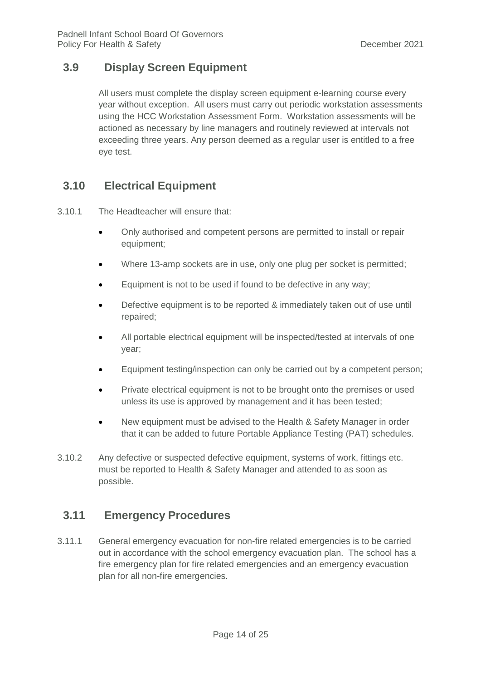## <span id="page-13-0"></span>**3.9 Display Screen Equipment**

All users must complete the display screen equipment e-learning course every year without exception. All users must carry out periodic workstation assessments using the HCC Workstation Assessment Form. Workstation assessments will be actioned as necessary by line managers and routinely reviewed at intervals not exceeding three years. Any person deemed as a regular user is entitled to a free eye test.

# <span id="page-13-1"></span>**3.10 Electrical Equipment**

3.10.1 The Headteacher will ensure that:

- Only authorised and competent persons are permitted to install or repair equipment;
- Where 13-amp sockets are in use, only one plug per socket is permitted;
- Equipment is not to be used if found to be defective in any way;
- Defective equipment is to be reported & immediately taken out of use until repaired;
- All portable electrical equipment will be inspected/tested at intervals of one year;
- Equipment testing/inspection can only be carried out by a competent person;
- Private electrical equipment is not to be brought onto the premises or used unless its use is approved by management and it has been tested;
- New equipment must be advised to the Health & Safety Manager in order that it can be added to future Portable Appliance Testing (PAT) schedules.
- 3.10.2 Any defective or suspected defective equipment, systems of work, fittings etc. must be reported to Health & Safety Manager and attended to as soon as possible.

#### <span id="page-13-2"></span>**3.11 Emergency Procedures**

3.11.1 General emergency evacuation for non-fire related emergencies is to be carried out in accordance with the school emergency evacuation plan. The school has a fire emergency plan for fire related emergencies and an emergency evacuation plan for all non-fire emergencies.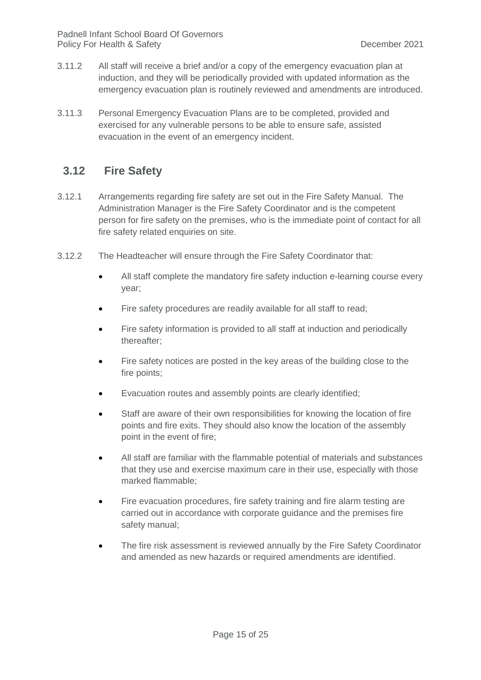- 3.11.2 All staff will receive a brief and/or a copy of the emergency evacuation plan at induction, and they will be periodically provided with updated information as the emergency evacuation plan is routinely reviewed and amendments are introduced.
- 3.11.3 Personal Emergency Evacuation Plans are to be completed, provided and exercised for any vulnerable persons to be able to ensure safe, assisted evacuation in the event of an emergency incident.

#### <span id="page-14-0"></span>**3.12 Fire Safety**

- 3.12.1 Arrangements regarding fire safety are set out in the Fire Safety Manual. The Administration Manager is the Fire Safety Coordinator and is the competent person for fire safety on the premises, who is the immediate point of contact for all fire safety related enquiries on site.
- 3.12.2 The Headteacher will ensure through the Fire Safety Coordinator that:
	- All staff complete the mandatory fire safety induction e-learning course every year;
	- Fire safety procedures are readily available for all staff to read;
	- Fire safety information is provided to all staff at induction and periodically thereafter;
	- Fire safety notices are posted in the key areas of the building close to the fire points;
	- Evacuation routes and assembly points are clearly identified;
	- Staff are aware of their own responsibilities for knowing the location of fire points and fire exits. They should also know the location of the assembly point in the event of fire;
	- All staff are familiar with the flammable potential of materials and substances that they use and exercise maximum care in their use, especially with those marked flammable;
	- Fire evacuation procedures, fire safety training and fire alarm testing are carried out in accordance with corporate guidance and the premises fire safety manual;
	- The fire risk assessment is reviewed annually by the Fire Safety Coordinator and amended as new hazards or required amendments are identified.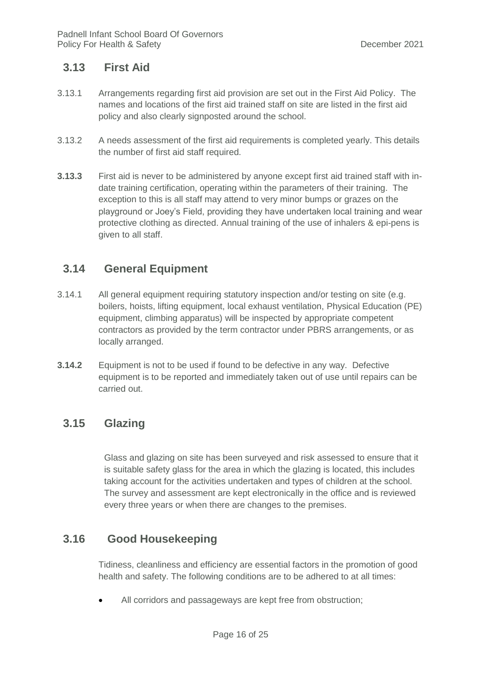#### <span id="page-15-0"></span>**3.13 First Aid**

- 3.13.1 Arrangements regarding first aid provision are set out in the First Aid Policy. The names and locations of the first aid trained staff on site are listed in the first aid policy and also clearly signposted around the school.
- 3.13.2 A needs assessment of the first aid requirements is completed yearly. This details the number of first aid staff required.
- **3.13.3** First aid is never to be administered by anyone except first aid trained staff with indate training certification, operating within the parameters of their training. The exception to this is all staff may attend to very minor bumps or grazes on the playground or Joey's Field, providing they have undertaken local training and wear protective clothing as directed. Annual training of the use of inhalers & epi-pens is given to all staff.

#### <span id="page-15-1"></span>**3.14 General Equipment**

- 3.14.1 All general equipment requiring statutory inspection and/or testing on site (e.g. boilers, hoists, lifting equipment, local exhaust ventilation, Physical Education (PE) equipment, climbing apparatus) will be inspected by appropriate competent contractors as provided by the term contractor under PBRS arrangements, or as locally arranged.
- **3.14.2** Equipment is not to be used if found to be defective in any way. Defective equipment is to be reported and immediately taken out of use until repairs can be carried out.

#### <span id="page-15-2"></span>**3.15 Glazing**

Glass and glazing on site has been surveyed and risk assessed to ensure that it is suitable safety glass for the area in which the glazing is located, this includes taking account for the activities undertaken and types of children at the school. The survey and assessment are kept electronically in the office and is reviewed every three years or when there are changes to the premises.

#### **3.16 Good Housekeeping**

<span id="page-15-3"></span>Tidiness, cleanliness and efficiency are essential factors in the promotion of good health and safety. The following conditions are to be adhered to at all times:

All corridors and passageways are kept free from obstruction;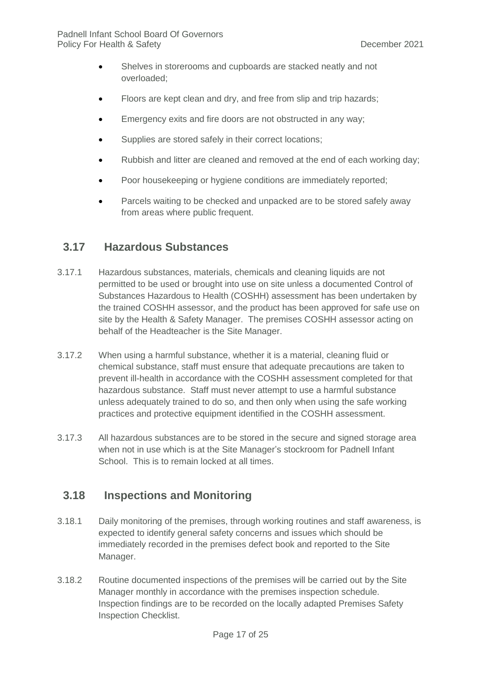- Shelves in storerooms and cupboards are stacked neatly and not overloaded;
- Floors are kept clean and dry, and free from slip and trip hazards;
- **Emergency exits and fire doors are not obstructed in any way;**
- Supplies are stored safely in their correct locations;
- Rubbish and litter are cleaned and removed at the end of each working day;
- Poor housekeeping or hygiene conditions are immediately reported;
- Parcels waiting to be checked and unpacked are to be stored safely away from areas where public frequent.

#### <span id="page-16-0"></span>**3.17 Hazardous Substances**

- 3.17.1 Hazardous substances, materials, chemicals and cleaning liquids are not permitted to be used or brought into use on site unless a documented Control of Substances Hazardous to Health (COSHH) assessment has been undertaken by the trained COSHH assessor, and the product has been approved for safe use on site by the Health & Safety Manager. The premises COSHH assessor acting on behalf of the Headteacher is the Site Manager.
- 3.17.2 When using a harmful substance, whether it is a material, cleaning fluid or chemical substance, staff must ensure that adequate precautions are taken to prevent ill-health in accordance with the COSHH assessment completed for that hazardous substance. Staff must never attempt to use a harmful substance unless adequately trained to do so, and then only when using the safe working practices and protective equipment identified in the COSHH assessment.
- 3.17.3 All hazardous substances are to be stored in the secure and signed storage area when not in use which is at the Site Manager's stockroom for Padnell Infant School. This is to remain locked at all times.

#### <span id="page-16-1"></span>**3.18 Inspections and Monitoring**

- 3.18.1 Daily monitoring of the premises, through working routines and staff awareness, is expected to identify general safety concerns and issues which should be immediately recorded in the premises defect book and reported to the Site Manager.
- 3.18.2 Routine documented inspections of the premises will be carried out by the Site Manager monthly in accordance with the premises inspection schedule. Inspection findings are to be recorded on the locally adapted Premises Safety Inspection Checklist.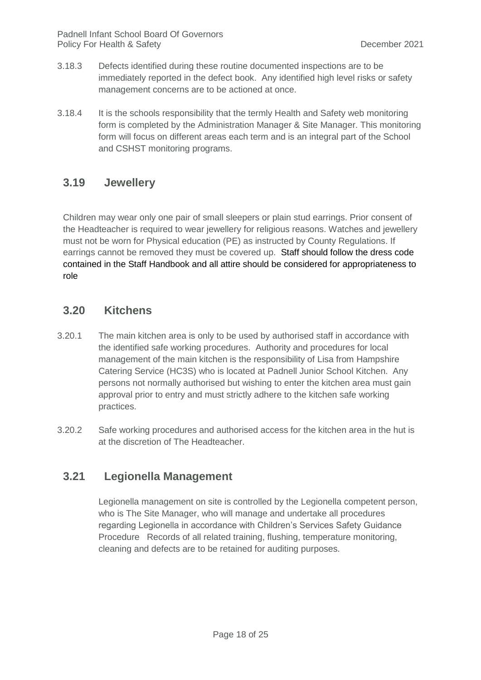- 3.18.3 Defects identified during these routine documented inspections are to be immediately reported in the defect book. Any identified high level risks or safety management concerns are to be actioned at once.
- 3.18.4 It is the schools responsibility that the termly Health and Safety web monitoring form is completed by the Administration Manager & Site Manager. This monitoring form will focus on different areas each term and is an integral part of the School and CSHST monitoring programs.

#### <span id="page-17-0"></span>**3.19 Jewellery**

Children may wear only one pair of small sleepers or plain stud earrings. Prior consent of the Headteacher is required to wear jewellery for religious reasons. Watches and jewellery must not be worn for Physical education (PE) as instructed by County Regulations. If earrings cannot be removed they must be covered up. Staff should follow the dress code contained in the Staff Handbook and all attire should be considered for appropriateness to role

#### **3.20 Kitchens**

- 3.20.1 The main kitchen area is only to be used by authorised staff in accordance with the identified safe working procedures. Authority and procedures for local management of the main kitchen is the responsibility of Lisa from Hampshire Catering Service (HC3S) who is located at Padnell Junior School Kitchen. Any persons not normally authorised but wishing to enter the kitchen area must gain approval prior to entry and must strictly adhere to the kitchen safe working practices.
- 3.20.2 Safe working procedures and authorised access for the kitchen area in the hut is at the discretion of The Headteacher.

#### <span id="page-17-1"></span>**3.21 Legionella Management**

Legionella management on site is controlled by the Legionella competent person, who is The Site Manager, who will manage and undertake all procedures regarding Legionella in accordance with Children's Services Safety Guidance Procedure Records of all related training, flushing, temperature monitoring, cleaning and defects are to be retained for auditing purposes.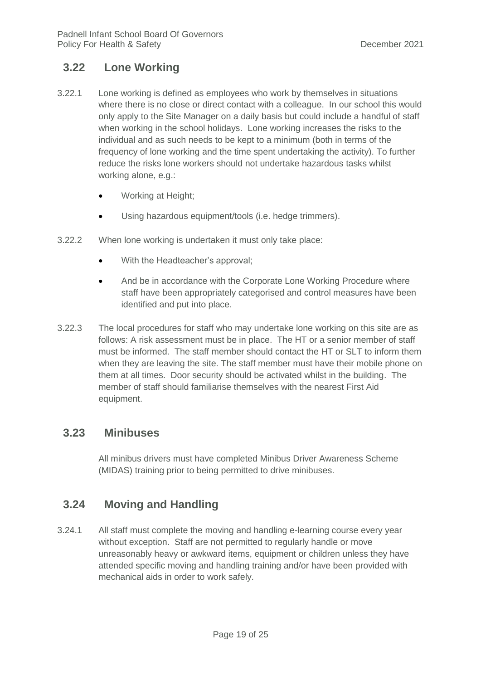#### <span id="page-18-0"></span>**3.22 Lone Working**

- 3.22.1 Lone working is defined as employees who work by themselves in situations where there is no close or direct contact with a colleague. In our school this would only apply to the Site Manager on a daily basis but could include a handful of staff when working in the school holidays. Lone working increases the risks to the individual and as such needs to be kept to a minimum (both in terms of the frequency of lone working and the time spent undertaking the activity). To further reduce the risks lone workers should not undertake hazardous tasks whilst working alone, e.g.:
	- Working at Height;
	- Using hazardous equipment/tools (i.e. hedge trimmers).
- 3.22.2 When lone working is undertaken it must only take place:
	- With the Headteacher's approval;
	- And be in accordance with the Corporate Lone Working Procedure where staff have been appropriately categorised and control measures have been identified and put into place.
- 3.22.3 The local procedures for staff who may undertake lone working on this site are as follows: A risk assessment must be in place. The HT or a senior member of staff must be informed. The staff member should contact the HT or SLT to inform them when they are leaving the site. The staff member must have their mobile phone on them at all times. Door security should be activated whilst in the building. The member of staff should familiarise themselves with the nearest First Aid equipment.

#### <span id="page-18-1"></span>**3.23 Minibuses**

All minibus drivers must have completed Minibus Driver Awareness Scheme (MIDAS) training prior to being permitted to drive minibuses.

#### <span id="page-18-2"></span>**3.24 Moving and Handling**

3.24.1 All staff must complete the moving and handling e-learning course every year without exception. Staff are not permitted to regularly handle or move unreasonably heavy or awkward items, equipment or children unless they have attended specific moving and handling training and/or have been provided with mechanical aids in order to work safely.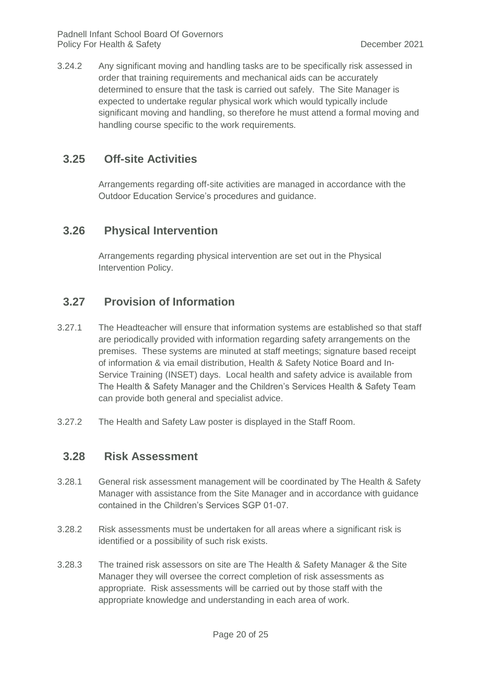3.24.2 Any significant moving and handling tasks are to be specifically risk assessed in order that training requirements and mechanical aids can be accurately determined to ensure that the task is carried out safely. The Site Manager is expected to undertake regular physical work which would typically include significant moving and handling, so therefore he must attend a formal moving and handling course specific to the work requirements.

#### <span id="page-19-0"></span>**3.25 Off-site Activities**

Arrangements regarding off-site activities are managed in accordance with the Outdoor Education Service's procedures and guidance.

#### <span id="page-19-1"></span>**3.26 Physical Intervention**

Arrangements regarding physical intervention are set out in the Physical Intervention Policy.

#### <span id="page-19-2"></span>**3.27 Provision of Information**

- 3.27.1 The Headteacher will ensure that information systems are established so that staff are periodically provided with information regarding safety arrangements on the premises. These systems are minuted at staff meetings; signature based receipt of information & via email distribution, Health & Safety Notice Board and In-Service Training (INSET) days. Local health and safety advice is available from The Health & Safety Manager and the Children's Services Health & Safety Team can provide both general and specialist advice.
- <span id="page-19-3"></span>3.27.2 The Health and Safety Law poster is displayed in the Staff Room.

#### **3.28 Risk Assessment**

- 3.28.1 General risk assessment management will be coordinated by The Health & Safety Manager with assistance from the Site Manager and in accordance with guidance contained in the Children's Services SGP 01-07.
- 3.28.2 Risk assessments must be undertaken for all areas where a significant risk is identified or a possibility of such risk exists.
- 3.28.3 The trained risk assessors on site are The Health & Safety Manager & the Site Manager they will oversee the correct completion of risk assessments as appropriate. Risk assessments will be carried out by those staff with the appropriate knowledge and understanding in each area of work.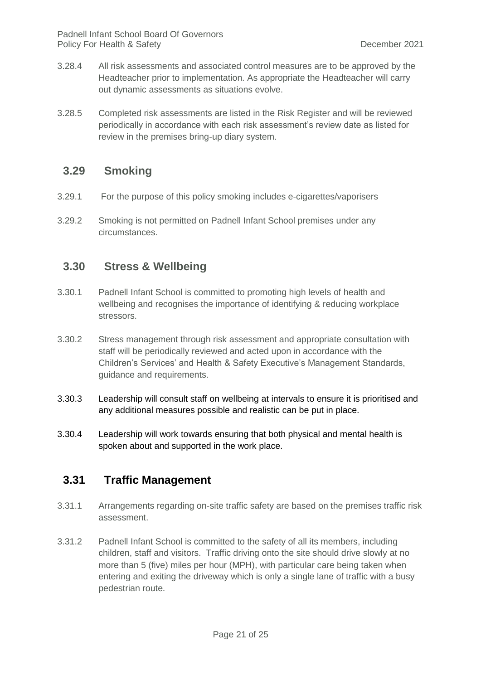- 3.28.4 All risk assessments and associated control measures are to be approved by the Headteacher prior to implementation. As appropriate the Headteacher will carry out dynamic assessments as situations evolve.
- 3.28.5 Completed risk assessments are listed in the Risk Register and will be reviewed periodically in accordance with each risk assessment's review date as listed for review in the premises bring-up diary system.

#### <span id="page-20-0"></span>**3.29 Smoking**

- 3.29.1 For the purpose of this policy smoking includes e-cigarettes/vaporisers
- 3.29.2 Smoking is not permitted on Padnell Infant School premises under any circumstances.

#### <span id="page-20-1"></span>**3.30 Stress & Wellbeing**

- 3.30.1 Padnell Infant School is committed to promoting high levels of health and wellbeing and recognises the importance of identifying & reducing workplace stressors.
- 3.30.2 Stress management through risk assessment and appropriate consultation with staff will be periodically reviewed and acted upon in accordance with the Children's Services' and Health & Safety Executive's Management Standards, guidance and requirements.
- 3.30.3 Leadership will consult staff on wellbeing at intervals to ensure it is prioritised and any additional measures possible and realistic can be put in place.
- 3.30.4 Leadership will work towards ensuring that both physical and mental health is spoken about and supported in the work place.

#### <span id="page-20-2"></span>**3.31 Traffic Management**

- 3.31.1 Arrangements regarding on-site traffic safety are based on the premises traffic risk assessment.
- 3.31.2 Padnell Infant School is committed to the safety of all its members, including children, staff and visitors. Traffic driving onto the site should drive slowly at no more than 5 (five) miles per hour (MPH), with particular care being taken when entering and exiting the driveway which is only a single lane of traffic with a busy pedestrian route.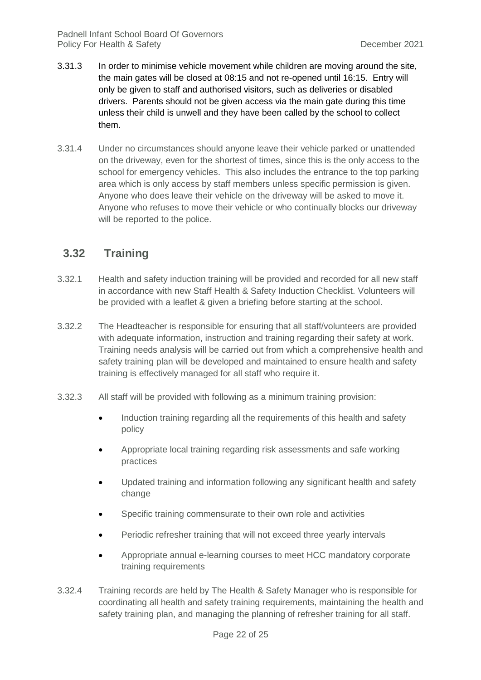- 3.31.3 In order to minimise vehicle movement while children are moving around the site, the main gates will be closed at 08:15 and not re-opened until 16:15. Entry will only be given to staff and authorised visitors, such as deliveries or disabled drivers. Parents should not be given access via the main gate during this time unless their child is unwell and they have been called by the school to collect them.
- 3.31.4 Under no circumstances should anyone leave their vehicle parked or unattended on the driveway, even for the shortest of times, since this is the only access to the school for emergency vehicles. This also includes the entrance to the top parking area which is only access by staff members unless specific permission is given. Anyone who does leave their vehicle on the driveway will be asked to move it. Anyone who refuses to move their vehicle or who continually blocks our driveway will be reported to the police.

## <span id="page-21-0"></span>**3.32 Training**

- 3.32.1 Health and safety induction training will be provided and recorded for all new staff in accordance with new Staff Health & Safety Induction Checklist. Volunteers will be provided with a leaflet & given a briefing before starting at the school.
- 3.32.2 The Headteacher is responsible for ensuring that all staff/volunteers are provided with adequate information, instruction and training regarding their safety at work. Training needs analysis will be carried out from which a comprehensive health and safety training plan will be developed and maintained to ensure health and safety training is effectively managed for all staff who require it.
- 3.32.3 All staff will be provided with following as a minimum training provision:
	- Induction training regarding all the requirements of this health and safety policy
	- Appropriate local training regarding risk assessments and safe working practices
	- Updated training and information following any significant health and safety change
	- Specific training commensurate to their own role and activities
	- Periodic refresher training that will not exceed three yearly intervals
	- Appropriate annual e-learning courses to meet HCC mandatory corporate training requirements
- 3.32.4 Training records are held by The Health & Safety Manager who is responsible for coordinating all health and safety training requirements, maintaining the health and safety training plan, and managing the planning of refresher training for all staff.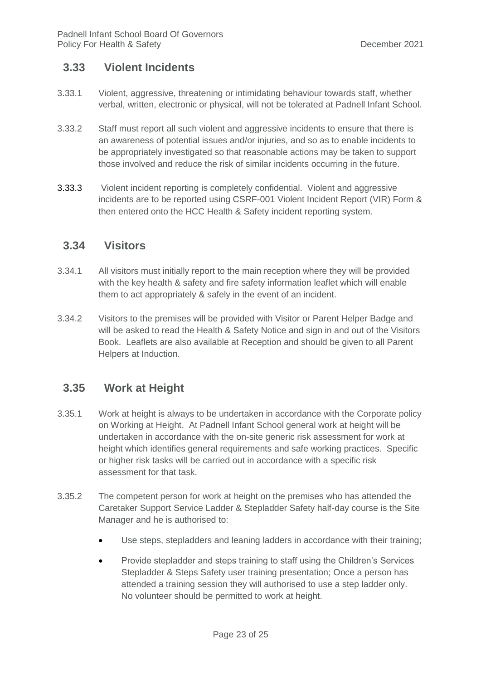#### <span id="page-22-0"></span>**3.33 Violent Incidents**

- 3.33.1 Violent, aggressive, threatening or intimidating behaviour towards staff, whether verbal, written, electronic or physical, will not be tolerated at Padnell Infant School.
- 3.33.2 Staff must report all such violent and aggressive incidents to ensure that there is an awareness of potential issues and/or injuries, and so as to enable incidents to be appropriately investigated so that reasonable actions may be taken to support those involved and reduce the risk of similar incidents occurring in the future.
- 3.33.3 Violent incident reporting is completely confidential. Violent and aggressive incidents are to be reported using CSRF-001 Violent Incident Report (VIR) Form & then entered onto the HCC Health & Safety incident reporting system.

#### <span id="page-22-1"></span>**3.34 Visitors**

- 3.34.1 All visitors must initially report to the main reception where they will be provided with the key health & safety and fire safety information leaflet which will enable them to act appropriately & safely in the event of an incident.
- 3.34.2 Visitors to the premises will be provided with Visitor or Parent Helper Badge and will be asked to read the Health & Safety Notice and sign in and out of the Visitors Book. Leaflets are also available at Reception and should be given to all Parent Helpers at Induction.

#### <span id="page-22-2"></span>**3.35 Work at Height**

- 3.35.1 Work at height is always to be undertaken in accordance with the Corporate policy on Working at Height. At Padnell Infant School general work at height will be undertaken in accordance with the on-site generic risk assessment for work at height which identifies general requirements and safe working practices. Specific or higher risk tasks will be carried out in accordance with a specific risk assessment for that task.
- 3.35.2 The competent person for work at height on the premises who has attended the Caretaker Support Service Ladder & Stepladder Safety half-day course is the Site Manager and he is authorised to:
	- Use steps, stepladders and leaning ladders in accordance with their training;
	- Provide stepladder and steps training to staff using the Children's Services Stepladder & Steps Safety user training presentation; Once a person has attended a training session they will authorised to use a step ladder only. No volunteer should be permitted to work at height.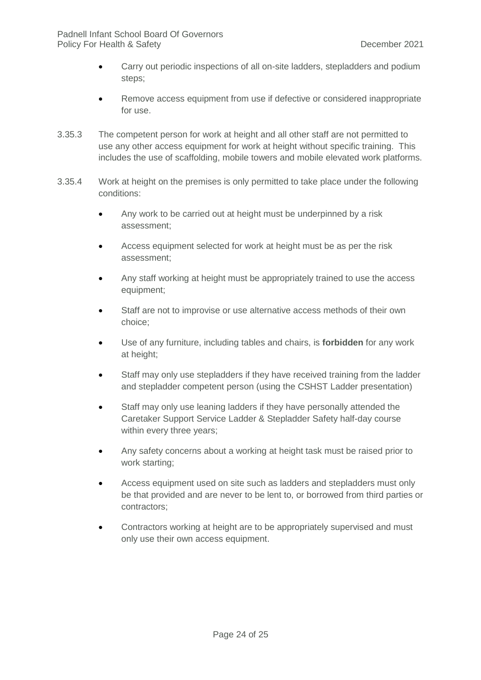- Carry out periodic inspections of all on-site ladders, stepladders and podium steps;
- Remove access equipment from use if defective or considered inappropriate for use.
- 3.35.3 The competent person for work at height and all other staff are not permitted to use any other access equipment for work at height without specific training. This includes the use of scaffolding, mobile towers and mobile elevated work platforms.
- 3.35.4 Work at height on the premises is only permitted to take place under the following conditions:
	- Any work to be carried out at height must be underpinned by a risk assessment;
	- Access equipment selected for work at height must be as per the risk assessment;
	- Any staff working at height must be appropriately trained to use the access equipment;
	- Staff are not to improvise or use alternative access methods of their own choice;
	- Use of any furniture, including tables and chairs, is **forbidden** for any work at height;
	- Staff may only use stepladders if they have received training from the ladder and stepladder competent person (using the CSHST Ladder presentation)
	- Staff may only use leaning ladders if they have personally attended the Caretaker Support Service Ladder & Stepladder Safety half-day course within every three years;
	- Any safety concerns about a working at height task must be raised prior to work starting;
	- Access equipment used on site such as ladders and stepladders must only be that provided and are never to be lent to, or borrowed from third parties or contractors;
	- Contractors working at height are to be appropriately supervised and must only use their own access equipment.